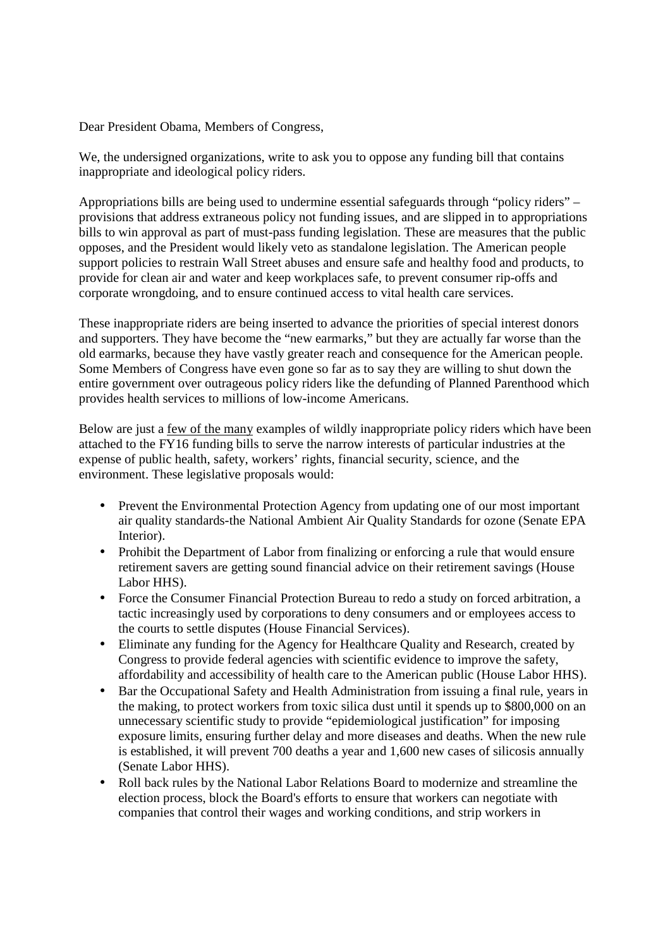Dear President Obama, Members of Congress,

We, the undersigned organizations, write to ask you to oppose any funding bill that contains inappropriate and ideological policy riders.

Appropriations bills are being used to undermine essential safeguards through "policy riders" – provisions that address extraneous policy not funding issues, and are slipped in to appropriations bills to win approval as part of must-pass funding legislation. These are measures that the public opposes, and the President would likely veto as standalone legislation. The American people support policies to restrain Wall Street abuses and ensure safe and healthy food and products, to provide for clean air and water and keep workplaces safe, to prevent consumer rip-offs and corporate wrongdoing, and to ensure continued access to vital health care services.

These inappropriate riders are being inserted to advance the priorities of special interest donors and supporters. They have become the "new earmarks," but they are actually far worse than the old earmarks, because they have vastly greater reach and consequence for the American people. Some Members of Congress have even gone so far as to say they are willing to shut down the entire government over outrageous policy riders like the defunding of Planned Parenthood which provides health services to millions of low-income Americans.

Below are just a few of the many examples of wildly inappropriate policy riders which have been attached to the FY16 funding bills to serve the narrow interests of particular industries at the expense of public health, safety, workers' rights, financial security, science, and the environment. These legislative proposals would:

- Prevent the Environmental Protection Agency from updating one of our most important air quality standards-the National Ambient Air Quality Standards for ozone (Senate EPA Interior).
- Prohibit the Department of Labor from finalizing or enforcing a rule that would ensure retirement savers are getting sound financial advice on their retirement savings (House Labor HHS).
- Force the Consumer Financial Protection Bureau to redo a study on forced arbitration, a tactic increasingly used by corporations to deny consumers and or employees access to the courts to settle disputes (House Financial Services).
- Eliminate any funding for the Agency for Healthcare Quality and Research, created by Congress to provide federal agencies with scientific evidence to improve the safety, affordability and accessibility of health care to the American public (House Labor HHS).
- Bar the Occupational Safety and Health Administration from issuing a final rule, years in the making, to protect workers from toxic silica dust until it spends up to \$800,000 on an unnecessary scientific study to provide "epidemiological justification" for imposing exposure limits, ensuring further delay and more diseases and deaths. When the new rule is established, it will prevent 700 deaths a year and 1,600 new cases of silicosis annually (Senate Labor HHS).
- Roll back rules by the National Labor Relations Board to modernize and streamline the election process, block the Board's efforts to ensure that workers can negotiate with companies that control their wages and working conditions, and strip workers in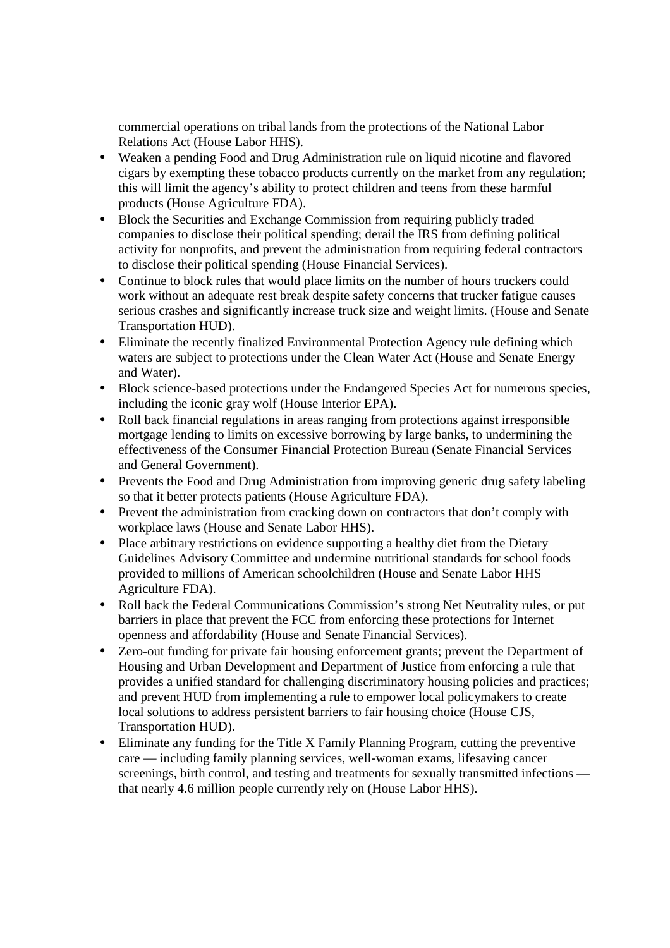commercial operations on tribal lands from the protections of the National Labor Relations Act (House Labor HHS).

- Weaken a pending Food and Drug Administration rule on liquid nicotine and flavored cigars by exempting these tobacco products currently on the market from any regulation; this will limit the agency's ability to protect children and teens from these harmful products (House Agriculture FDA).
- Block the Securities and Exchange Commission from requiring publicly traded companies to disclose their political spending; derail the IRS from defining political activity for nonprofits, and prevent the administration from requiring federal contractors to disclose their political spending (House Financial Services).
- Continue to block rules that would place limits on the number of hours truckers could work without an adequate rest break despite safety concerns that trucker fatigue causes serious crashes and significantly increase truck size and weight limits. (House and Senate Transportation HUD).
- Eliminate the recently finalized Environmental Protection Agency rule defining which waters are subject to protections under the Clean Water Act (House and Senate Energy and Water).
- Block science-based protections under the Endangered Species Act for numerous species, including the iconic gray wolf (House Interior EPA).
- Roll back financial regulations in areas ranging from protections against irresponsible mortgage lending to limits on excessive borrowing by large banks, to undermining the effectiveness of the Consumer Financial Protection Bureau (Senate Financial Services and General Government).
- Prevents the Food and Drug Administration from improving generic drug safety labeling so that it better protects patients (House Agriculture FDA).
- Prevent the administration from cracking down on contractors that don't comply with workplace laws (House and Senate Labor HHS).
- Place arbitrary restrictions on evidence supporting a healthy diet from the Dietary Guidelines Advisory Committee and undermine nutritional standards for school foods provided to millions of American schoolchildren (House and Senate Labor HHS Agriculture FDA).
- Roll back the Federal Communications Commission's strong Net Neutrality rules, or put barriers in place that prevent the FCC from enforcing these protections for Internet openness and affordability (House and Senate Financial Services).
- Zero-out funding for private fair housing enforcement grants; prevent the Department of Housing and Urban Development and Department of Justice from enforcing a rule that provides a unified standard for challenging discriminatory housing policies and practices; and prevent HUD from implementing a rule to empower local policymakers to create local solutions to address persistent barriers to fair housing choice (House CJS, Transportation HUD).
- Eliminate any funding for the Title X Family Planning Program, cutting the preventive care — including family planning services, well-woman exams, lifesaving cancer screenings, birth control, and testing and treatments for sexually transmitted infections that nearly 4.6 million people currently rely on (House Labor HHS).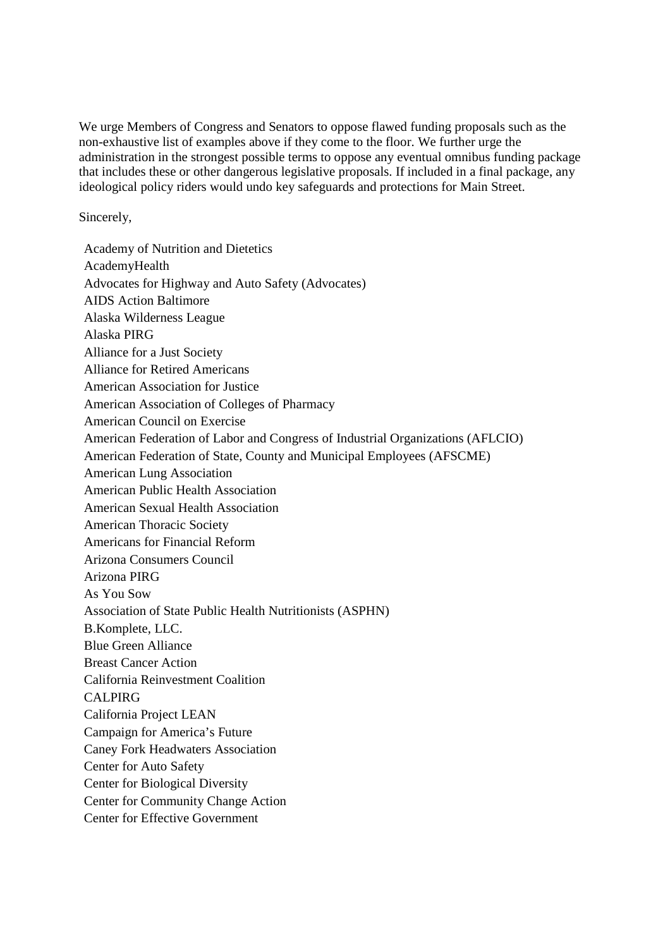We urge Members of Congress and Senators to oppose flawed funding proposals such as the non-exhaustive list of examples above if they come to the floor. We further urge the administration in the strongest possible terms to oppose any eventual omnibus funding package that includes these or other dangerous legislative proposals. If included in a final package, any ideological policy riders would undo key safeguards and protections for Main Street.

Sincerely,

Academy of Nutrition and Dietetics AcademyHealth Advocates for Highway and Auto Safety (Advocates) AIDS Action Baltimore Alaska Wilderness League Alaska PIRG Alliance for a Just Society Alliance for Retired Americans American Association for Justice American Association of Colleges of Pharmacy American Council on Exercise American Federation of Labor and Congress of Industrial Organizations (AFLCIO) American Federation of State, County and Municipal Employees (AFSCME) American Lung Association American Public Health Association American Sexual Health Association American Thoracic Society Americans for Financial Reform Arizona Consumers Council Arizona PIRG As You Sow Association of State Public Health Nutritionists (ASPHN) B.Komplete, LLC. Blue Green Alliance Breast Cancer Action California Reinvestment Coalition CALPIRG California Project LEAN Campaign for America's Future Caney Fork Headwaters Association Center for Auto Safety Center for Biological Diversity Center for Community Change Action Center for Effective Government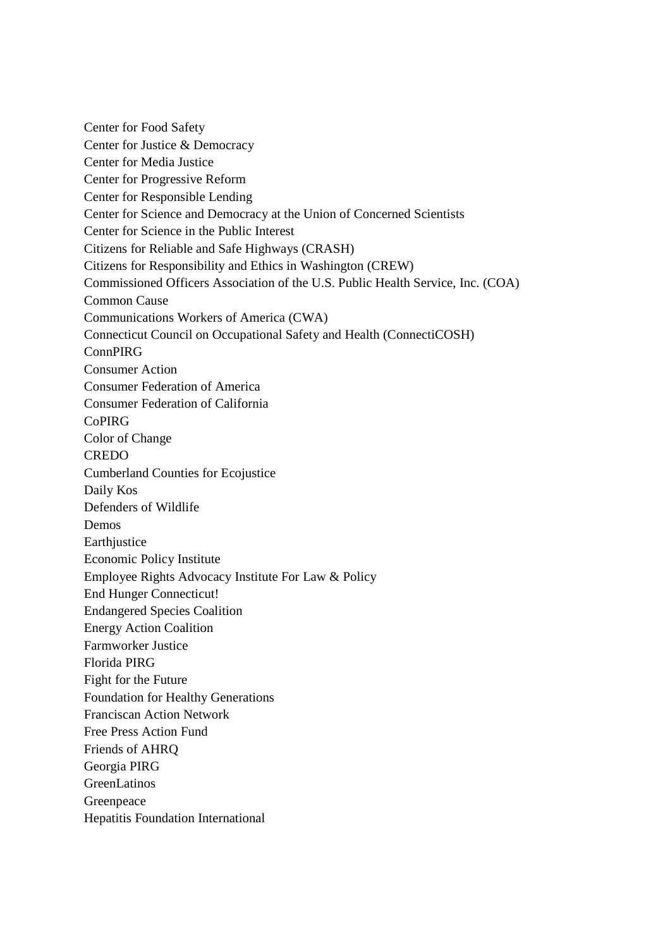Center for Food Safety Center for Justice & Democracy Center for Media Justice Center for Progressive Reform Center for Responsible Lending Center for Science and Democracy at the Union of Concerned Scientists Center for Science in the Public Interest Citizens for Reliable and Safe Highways (CRASH) Citizens for Responsibility and Ethics in Washington (CREW) Commissioned Officers Association of the U.S. Public Health Service, Inc. (COA) Common Cause Communications Workers of America (CWA) Connecticut Council on Occupational Safety and Health (ConnectiCOSH) ConnPIRG Consumer Action Consumer Federation of America Consumer Federation of California CoPIRG Color of Change CREDO Cumberland Counties for Ecojustice Daily Kos Defenders of Wildlife Demos **Earthjustice** Economic Policy Institute Employee Rights Advocacy Institute For Law & Policy End Hunger Connecticut! Endangered Species Coalition Energy Action Coalition Farmworker Justice Florida PIRG Fight for the Future Foundation for Healthy Generations Franciscan Action Network Free Press Action Fund Friends of AHRQ Georgia PIRG GreenLatinos Greenpeace Hepatitis Foundation International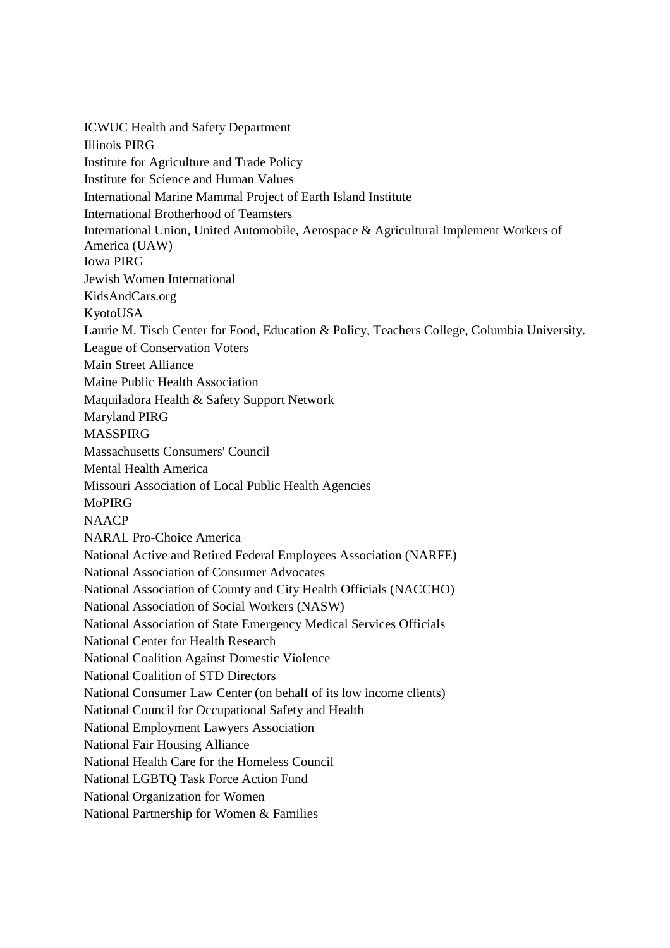ICWUC Health and Safety Department Illinois PIRG Institute for Agriculture and Trade Policy Institute for Science and Human Values International Marine Mammal Project of Earth Island Institute International Brotherhood of Teamsters International Union, United Automobile, Aerospace & Agricultural Implement Workers of America (UAW) Iowa PIRG Jewish Women International KidsAndCars.org KyotoUSA Laurie M. Tisch Center for Food, Education & Policy, Teachers College, Columbia University. League of Conservation Voters Main Street Alliance Maine Public Health Association Maquiladora Health & Safety Support Network Maryland PIRG MASSPIRG Massachusetts Consumers' Council Mental Health America Missouri Association of Local Public Health Agencies MoPIRG **NAACP** NARAL Pro-Choice America National Active and Retired Federal Employees Association (NARFE) National Association of Consumer Advocates National Association of County and City Health Officials (NACCHO) National Association of Social Workers (NASW) National Association of State Emergency Medical Services Officials National Center for Health Research National Coalition Against Domestic Violence National Coalition of STD Directors National Consumer Law Center (on behalf of its low income clients) National Council for Occupational Safety and Health National Employment Lawyers Association National Fair Housing Alliance National Health Care for the Homeless Council National LGBTQ Task Force Action Fund National Organization for Women National Partnership for Women & Families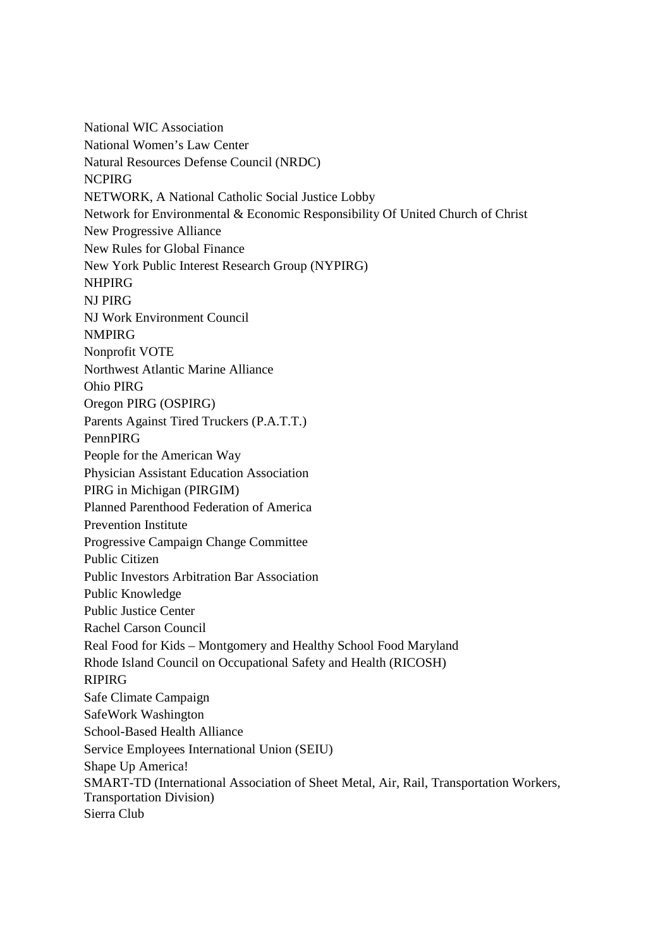National WIC Association National Women's Law Center Natural Resources Defense Council (NRDC) **NCPIRG** NETWORK, A National Catholic Social Justice Lobby Network for Environmental & Economic Responsibility Of United Church of Christ New Progressive Alliance New Rules for Global Finance New York Public Interest Research Group (NYPIRG) **NHPIRG** NJ PIRG NJ Work Environment Council NMPIRG Nonprofit VOTE Northwest Atlantic Marine Alliance Ohio PIRG Oregon PIRG (OSPIRG) Parents Against Tired Truckers (P.A.T.T.) PennPIRG People for the American Way Physician Assistant Education Association PIRG in Michigan (PIRGIM) Planned Parenthood Federation of America Prevention Institute Progressive Campaign Change Committee Public Citizen Public Investors Arbitration Bar Association Public Knowledge Public Justice Center Rachel Carson Council Real Food for Kids – Montgomery and Healthy School Food Maryland Rhode Island Council on Occupational Safety and Health (RICOSH) RIPIRG Safe Climate Campaign SafeWork Washington School-Based Health Alliance Service Employees International Union (SEIU) Shape Up America! SMART-TD (International Association of Sheet Metal, Air, Rail, Transportation Workers, Transportation Division) Sierra Club